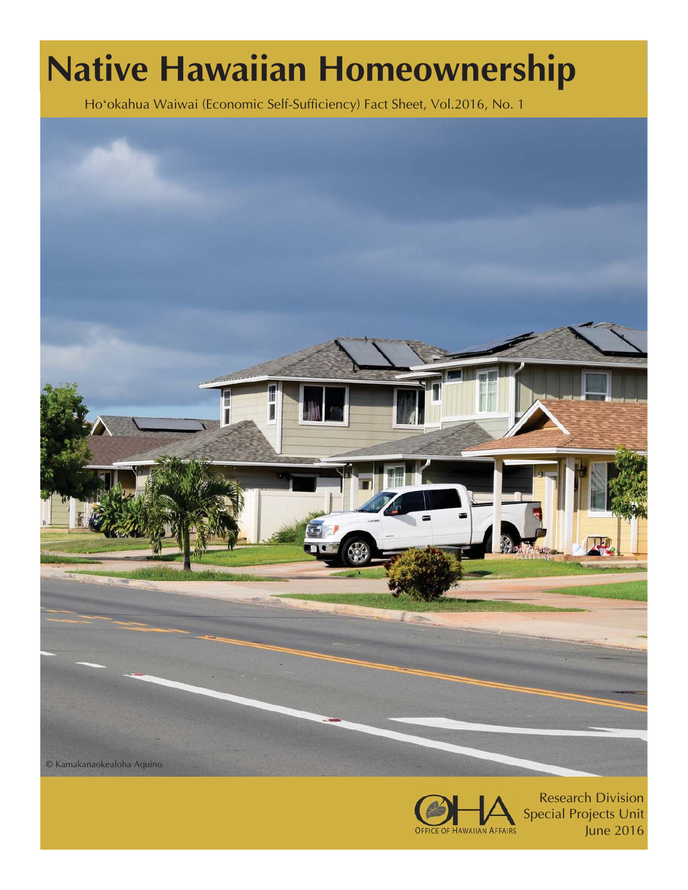# **Native Hawaiian Homeownership**

Hoʻokahua Waiwai (Economic Self-Sufficiency) Fact Sheet, Vol.2016, No. 1





Research Division Special Projects Unit June 2016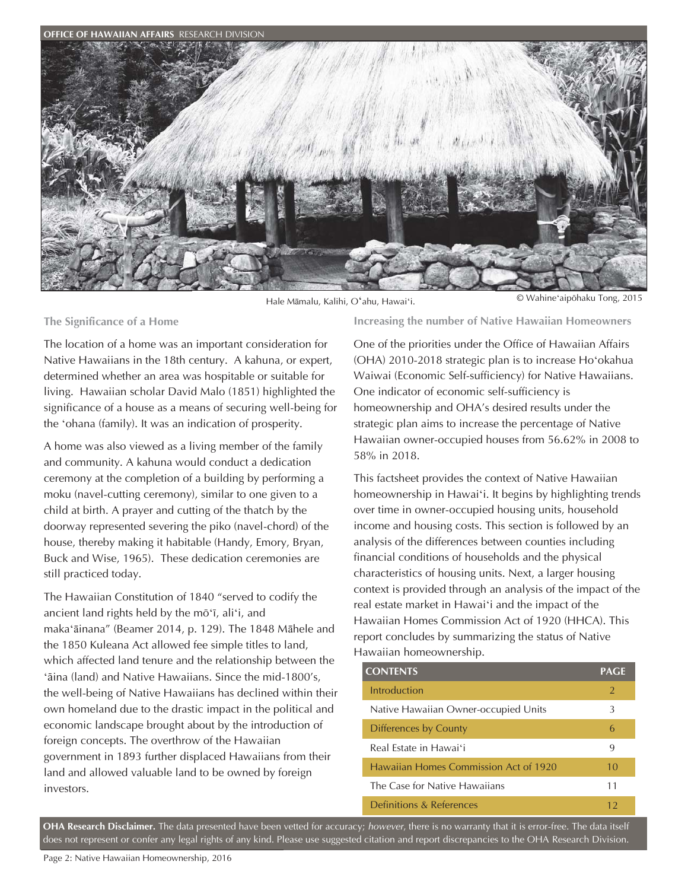

Hale Māmalu, Kalihi, Oʻahu, Hawaiʻi. © Wahineʻaipöhaku Tong, 2015

**The Significance of a Home** 

The location of a home was an important consideration for Native Hawaiians in the 18th century. A kahuna, or expert, determined whether an area was hospitable or suitable for living. Hawaiian scholar David Malo (1851) highlighted the significance of a house as a means of securing well-being for the ʻohana (family). It was an indication of prosperity.

A home was also viewed as a living member of the family and community. A kahuna would conduct a dedication ceremony at the completion of a building by performing a moku (navel-cutting ceremony), similar to one given to a child at birth. A prayer and cutting of the thatch by the doorway represented severing the piko (navel-chord) of the house, thereby making it habitable (Handy, Emory, Bryan, Buck and Wise, 1965). These dedication ceremonies are still practiced today.

The Hawaiian Constitution of 1840 "served to codify the ancient land rights held by the möʻï, aliʻi, and makaʻāinana" (Beamer 2014, p. 129). The 1848 Māhele and the 1850 Kuleana Act allowed fee simple titles to land, which affected land tenure and the relationship between the ʻāina (land) and Native Hawaiians. Since the mid-1800's, the well-being of Native Hawaiians has declined within their own homeland due to the drastic impact in the political and economic landscape brought about by the introduction of foreign concepts. The overthrow of the Hawaiian government in 1893 further displaced Hawaiians from their land and allowed valuable land to be owned by foreign investors.

**Increasing the number of Native Hawaiian Homeowners** 

One of the priorities under the Office of Hawaiian Affairs (OHA) 2010-2018 strategic plan is to increase Hoʻokahua Waiwai (Economic Self-sufficiency) for Native Hawaiians. One indicator of economic self-sufficiency is homeownership and OHA's desired results under the strategic plan aims to increase the percentage of Native Hawaiian owner-occupied houses from 56.62% in 2008 to 58% in 2018.

This factsheet provides the context of Native Hawaiian homeownership in Hawaiʻi. It begins by highlighting trends over time in owner-occupied housing units, household income and housing costs. This section is followed by an analysis of the differences between counties including financial conditions of households and the physical characteristics of housing units. Next, a larger housing context is provided through an analysis of the impact of the real estate market in Hawaiʻi and the impact of the Hawaiian Homes Commission Act of 1920 (HHCA). This report concludes by summarizing the status of Native Hawaiian homeownership.

| <b>CONTENTS</b>                       | <b>PAGE</b>    |
|---------------------------------------|----------------|
| Introduction                          | $\overline{2}$ |
| Native Hawaiian Owner-occupied Units  | 3              |
| <b>Differences by County</b>          | 6              |
| Real Estate in Hawai'i                | 9              |
| Hawaiian Homes Commission Act of 1920 | 10             |
| The Case for Native Hawaiians         | 11             |
| Definitions & References              | 12             |

1 does not represent or confer any legal rights of any kind. Please use suggested citation and report discrepancies to the OHA Research Division. **OHA Research Disclaimer.** The data presented have been vetted for accuracy; *however*, there is no warranty that it is error-free. The data itself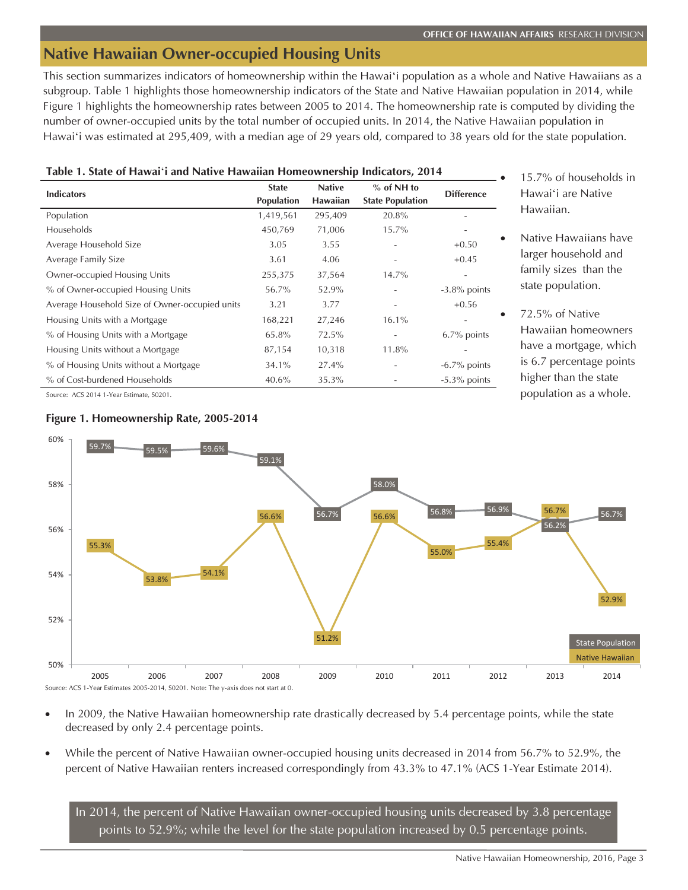# **Native Hawaiian Owner-occupied Housing Units**

This section summarizes indicators of homeownership within the Hawaiʻi population as a whole and Native Hawaiians as a subgroup. Table 1 highlights those homeownership indicators of the State and Native Hawaiian population in 2014, while Figure 1 highlights the homeownership rates between 2005 to 2014. The homeownership rate is computed by dividing the number of owner-occupied units by the total number of occupied units. In 2014, the Native Hawaiian population in Hawaiʻi was estimated at 295,409, with a median age of 29 years old, compared to 38 years old for the state population.

# **Table 1. State of Hawai**ʻ**i and Native Hawaiian Homeownership Indicators, 2014**

| <b>Indicators</b>                              | <b>State</b><br><b>Population</b> | <b>Native</b><br><b>Hawaiian</b> | $%$ of NH to<br><b>State Population</b> | <b>Difference</b>        |
|------------------------------------------------|-----------------------------------|----------------------------------|-----------------------------------------|--------------------------|
| Population                                     | 1,419,561                         | 295,409                          | 20.8%                                   |                          |
| Households                                     | 450,769                           | 71,006                           | $15.7\%$                                | $\overline{a}$           |
| Average Household Size                         | 3.05                              | 3.55                             |                                         | $+0.50$                  |
| Average Family Size                            | 3.61                              | 4.06                             |                                         | $+0.45$                  |
| Owner-occupied Housing Units                   | 255,375                           | 37,564                           | 14.7%                                   | $\overline{\phantom{a}}$ |
| % of Owner-occupied Housing Units              | 56.7%                             | 52.9%                            |                                         | $-3.8\%$ points          |
| Average Household Size of Owner-occupied units | 3.21                              | 3.77                             |                                         | $+0.56$                  |
| Housing Units with a Mortgage                  | 168,221                           | 27,246                           | $16.1\%$                                |                          |
| % of Housing Units with a Mortgage             | 65.8%                             | 72.5%                            |                                         | $6.7\%$ points           |
| Housing Units without a Mortgage               | 87,154                            | 10,318                           | 11.8%                                   |                          |
| % of Housing Units without a Mortgage          | 34.1%                             | 27.4%                            |                                         | $-6.7\%$ points          |
| % of Cost-burdened Households                  | 40.6%                             | 35.3%                            |                                         | $-5.3\%$ points          |

Source: ACS 2014 1-Year Estimate, S0201.



- 15.7% of households in Hawaiʻi are Native Hawaiian.
- Native Hawaiians have larger household and family sizes than the state population.
- 72.5% of Native Hawaiian homeowners have a mortgage, which is 6.7 percentage points higher than the state population as a whole.



- In 2009, the Native Hawaiian homeownership rate drastically decreased by 5.4 percentage points, while the state decreased by only 2.4 percentage points.
- While the percent of Native Hawaiian owner-occupied housing units decreased in 2014 from 56.7% to 52.9%, the percent of Native Hawaiian renters increased correspondingly from 43.3% to 47.1% (ACS 1-Year Estimate 2014).

In 2014, the percent of Native Hawaiian owner-occupied housing units decreased by 3.8 percentage points to 52.9%; while the level for the state population increased by  $0.5$  percentage points.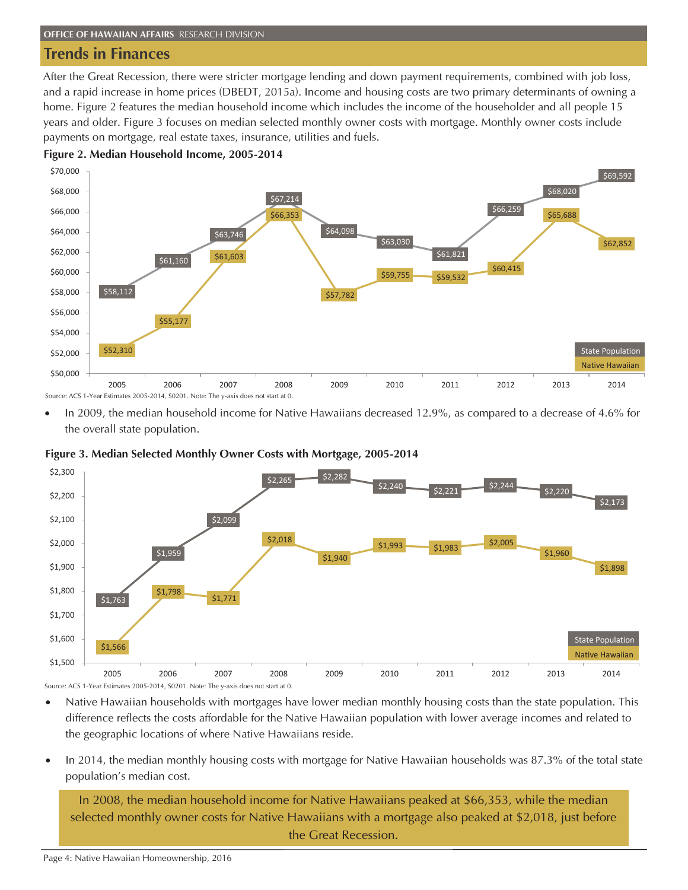# **Trends in Finances**

After the Great Recession, there were stricter mortgage lending and down payment requirements, combined with job loss, and a rapid increase in home prices (DBEDT, 2015a). Income and housing costs are two primary determinants of owning a home. Figure 2 features the median household income which includes the income of the householder and all people 15 years and older. Figure 3 focuses on median selected monthly owner costs with mortgage. Monthly owner costs include payments on mortgage, real estate taxes, insurance, utilities and fuels.





In 2009, the median household income for Native Hawaiians decreased 12.9%, as compared to a decrease of 4.6% for the overall state population.



**Figure 3. Median Selected Monthly Owner Costs with Mortgage, 2005-2014** 

Source: ACS 1-Year Estimates 2005-2014, S0201. Note: The y-axis does not start at 0.

- Native Hawaiian households with mortgages have lower median monthly housing costs than the state population. This difference reflects the costs affordable for the Native Hawaiian population with lower average incomes and related to the geographic locations of where Native Hawaiians reside.
- In 2014, the median monthly housing costs with mortgage for Native Hawaiian households was 87.3% of the total state population's median cost.

In 2008, the median household income for Native Hawaiians peaked at \$66,353, while the median selected monthly owner costs for Native Hawaiians with a mortgage also peaked at \$2,018, just before the Great Recession.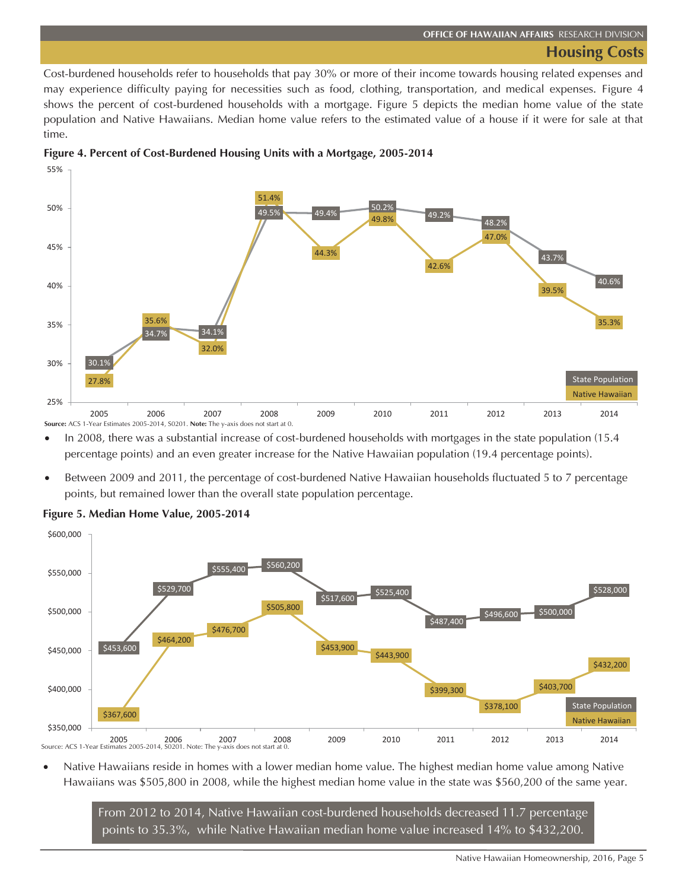# **Housing Costs**

Cost-burdened households refer to households that pay 30% or more of their income towards housing related expenses and may experience difficulty paying for necessities such as food, clothing, transportation, and medical expenses. Figure 4 shows the percent of cost-burdened households with a mortgage. Figure 5 depicts the median home value of the state population and Native Hawaiians. Median home value refers to the estimated value of a house if it were for sale at that time.





In 2008, there was a substantial increase of cost-burdened households with mortgages in the state population (15.4 percentage points) and an even greater increase for the Native Hawaiian population (19.4 percentage points).

Between 2009 and 2011, the percentage of cost-burdened Native Hawaiian households fluctuated 5 to 7 percentage points, but remained lower than the overall state population percentage.



# **Figure 5. Median Home Value, 2005-2014**

Native Hawaiians reside in homes with a lower median home value. The highest median home value among Native Hawaiians was \$505,800 in 2008, while the highest median home value in the state was \$560,200 of the same year.

From 2012 to 2014, Native Hawaiian cost-burdened households decreased 11.7 percentage points to 35.3%, while Native Hawaiian median home value increased 14% to \$432,200.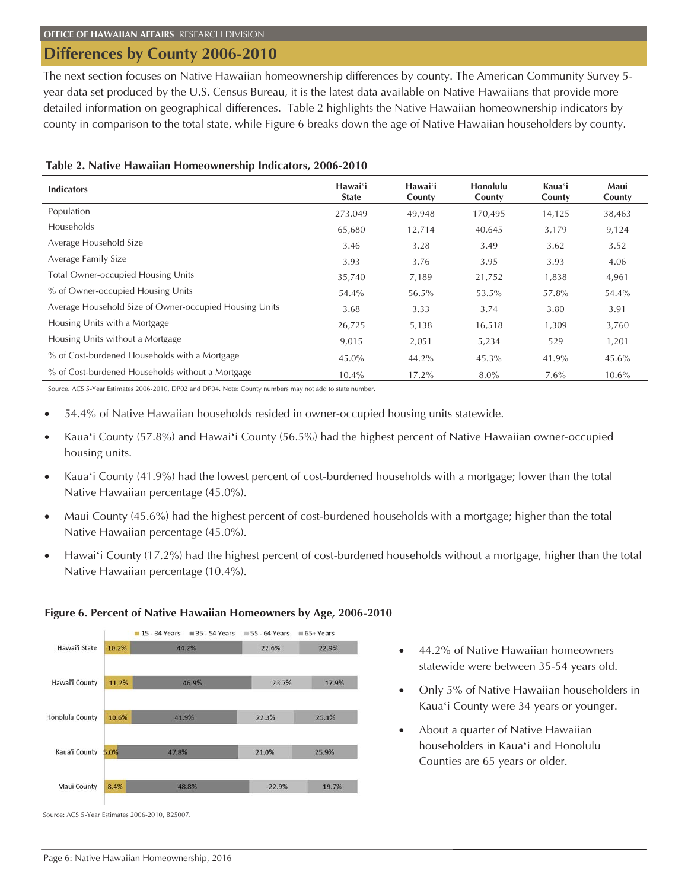# **Differences by County 2006-2010**

The next section focuses on Native Hawaiian homeownership differences by county. The American Community Survey 5 year data set produced by the U.S. Census Bureau, it is the latest data available on Native Hawaiians that provide more detailed information on geographical differences. Table 2 highlights the Native Hawaiian homeownership indicators by county in comparison to the total state, while Figure 6 breaks down the age of Native Hawaiian householders by county.

| TWIC 2. FULLED FROM MINITED INTO WHICH SHIP THUICALOTS, $2000 - 2010$ |                         |                   |                    |  |  |  |  |  |
|-----------------------------------------------------------------------|-------------------------|-------------------|--------------------|--|--|--|--|--|
| <b>Indicators</b>                                                     | Hawaiʻi<br><b>State</b> | Hawai'i<br>County | Honolulu<br>County |  |  |  |  |  |
| Population                                                            | 273.049                 | 49.948            | 170.495            |  |  |  |  |  |

|  |  |  |  |  | Table 2. Native Hawaiian Homeownership Indicators, 2006-2010 |  |  |
|--|--|--|--|--|--------------------------------------------------------------|--|--|
|--|--|--|--|--|--------------------------------------------------------------|--|--|

| Indicators                                             | i iavvai l<br><b>State</b> | i iawai i<br>County | TIVIIVIUU<br>County | naua 1<br>County | waa<br>County |  |
|--------------------------------------------------------|----------------------------|---------------------|---------------------|------------------|---------------|--|
| Population                                             | 273,049                    | 49,948              | 170,495             | 14,125           | 38,463        |  |
| <b>Households</b>                                      | 65,680                     | 12,714              | 40,645              | 3,179            | 9,124         |  |
| Average Household Size                                 | 3.46                       | 3.28                | 3.49                | 3.62             | 3.52          |  |
| Average Family Size                                    | 3.93                       | 3.76                | 3.95                | 3.93             | 4.06          |  |
| <b>Total Owner-occupied Housing Units</b>              | 35,740                     | 7,189               | 21,752              | 1,838            | 4,961         |  |
| % of Owner-occupied Housing Units                      | 54.4%                      | 56.5%               | 53.5%               | 57.8%            | 54.4%         |  |
| Average Household Size of Owner-occupied Housing Units | 3.68                       | 3.33                | 3.74                | 3.80             | 3.91          |  |
| Housing Units with a Mortgage                          | 26,725                     | 5,138               | 16,518              | 1,309            | 3,760         |  |
| Housing Units without a Mortgage                       | 9,015                      | 2,051               | 5,234               | 529              | 1,201         |  |
| % of Cost-burdened Households with a Mortgage          | 45.0%                      | 44.2%               | 45.3%               | 41.9%            | 45.6%         |  |
| % of Cost-burdened Households without a Mortgage       | 10.4%                      | 17.2%               | $8.0\%$             | $7.6\%$          | 10.6%         |  |

Source. ACS 5-Year Estimates 2006-2010, DP02 and DP04. Note: County numbers may not add to state number.

- 54.4% of Native Hawaiian households resided in owner-occupied housing units statewide.
- x Kauaʻi County (57.8%) and Hawaiʻi County (56.5%) had the highest percent of Native Hawaiian owner-occupied housing units.
- x Kauaʻi County (41.9%) had the lowest percent of cost-burdened households with a mortgage; lower than the total Native Hawaiian percentage (45.0%).
- x Maui County (45.6%) had the highest percent of cost-burdened households with a mortgage; higher than the total Native Hawaiian percentage (45.0%).
- Hawai'i County (17.2%) had the highest percent of cost-burdened households without a mortgage, higher than the total Native Hawaiian percentage (10.4%).



### **Figure 6. Percent of Native Hawaiian Homeowners by Age, 2006-2010**

- $\bullet$  44.2% of Native Hawaiian homeowners statewide were between 35-54 years old.
- Only 5% of Native Hawaiian householders in Kauaʻi County were 34 years or younger.

**Kaua**ʻ**i** 

**Maui** 

About a quarter of Native Hawaiian householders in Kauaʻi and Honolulu Counties are 65 years or older.

Source: ACS 5-Year Estimates 2006-2010, B25007.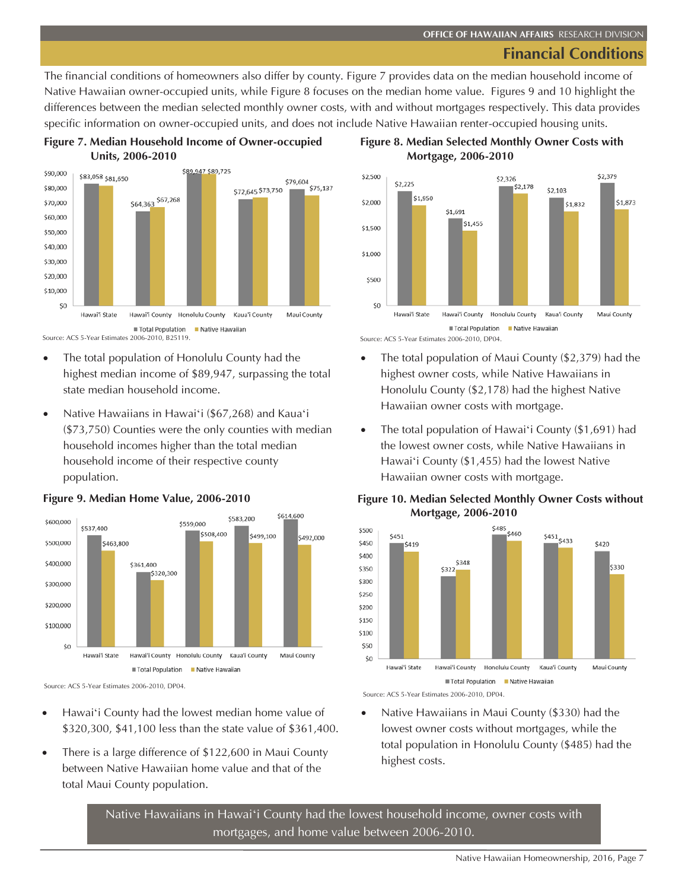# **Financial Conditions**

The financial conditions of homeowners also differ by county. Figure 7 provides data on the median household income of Native Hawaiian owner-occupied units, while Figure 8 focuses on the median home value. Figures 9 and 10 highlight the differences between the median selected monthly owner costs, with and without mortgages respectively. This data provides specific information on owner-occupied units, and does not include Native Hawaiian renter-occupied housing units.





Source: ACS 5-Year Estimates 2006-2010, B25119.

- The total population of Honolulu County had the highest median income of \$89,947, surpassing the total state median household income.
- Native Hawaiians in Hawaiʻi (\$67,268) and Kauaʻi (\$73,750) Counties were the only counties with median household incomes higher than the total median household income of their respective county population.



### **Figure 9. Median Home Value, 2006-2010**

- Hawaiʻi County had the lowest median home value of \$320,300, \$41,100 less than the state value of \$361,400.
- There is a large difference of \$122,600 in Maui County between Native Hawaiian home value and that of the total Maui County population.





Source: ACS 5-Year Estimates 2006-2010, DP04.

- The total population of Maui County  $(\$2,379)$  had the highest owner costs, while Native Hawaiians in Honolulu County (\$2,178) had the highest Native Hawaiian owner costs with mortgage.
- The total population of Hawai'i County (\$1,691) had the lowest owner costs, while Native Hawaiians in Hawaiʻi County (\$1,455) had the lowest Native Hawaiian owner costs with mortgage.

# **Figure 10. Median Selected Monthly Owner Costs without Mortgage, 2006-2010**



Source: ACS 5-Year Estimates 2006-2010, DP04.

Native Hawaiians in Maui County (\$330) had the lowest owner costs without mortgages, while the total population in Honolulu County (\$485) had the highest costs.

Native Hawaiians in Hawaiʻi County had the lowest household income, owner costs with mortgages, and home value between 2006-2010.

Source: ACS 5-Year Estimates 2006-2010, DP04.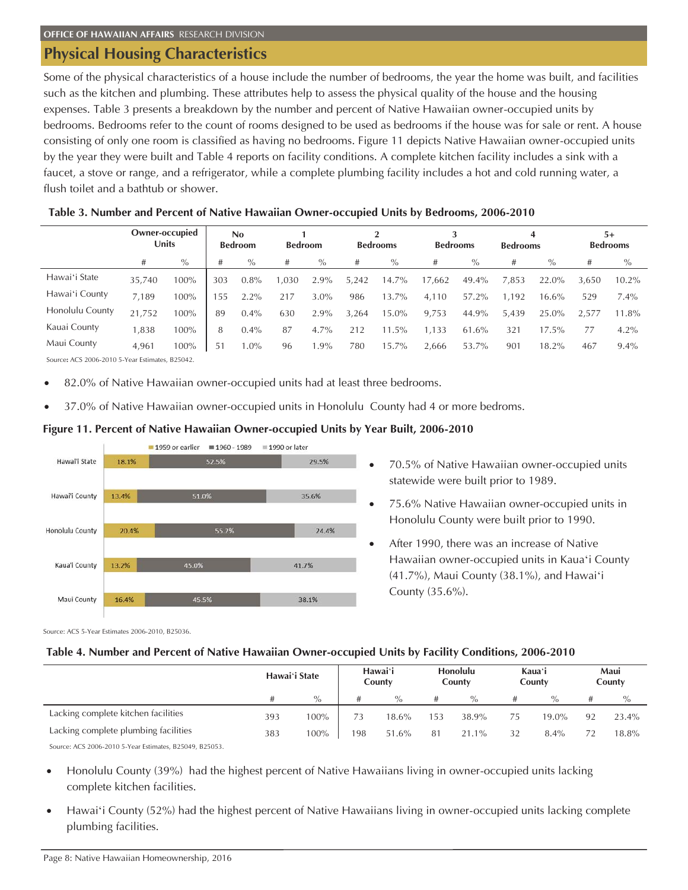# **Physical Housing Characteristics**

Some of the physical characteristics of a house include the number of bedrooms, the year the home was built, and facilities such as the kitchen and plumbing. These attributes help to assess the physical quality of the house and the housing expenses. Table 3 presents a breakdown by the number and percent of Native Hawaiian owner-occupied units by bedrooms. Bedrooms refer to the count of rooms designed to be used as bedrooms if the house was for sale or rent. A house consisting of only one room is classified as having no bedrooms. Figure 11 depicts Native Hawaiian owner-occupied units by the year they were built and Table 4 reports on facility conditions. A complete kitchen facility includes a sink with a faucet, a stove or range, and a refrigerator, while a complete plumbing facility includes a hot and cold running water, a flush toilet and a bathtub or shower.

|                 | <b>Owner-occupied</b><br>Units |          | <b>No</b><br><b>Bedroom</b> |         |         | <b>Bedroom</b> |       | റ<br><b>Bedrooms</b><br><b>Bedrooms</b> |        |       |         | 4<br><b>Bedrooms</b> |       | $5+$<br><b>Bedrooms</b> |
|-----------------|--------------------------------|----------|-----------------------------|---------|---------|----------------|-------|-----------------------------------------|--------|-------|---------|----------------------|-------|-------------------------|
|                 | #                              | $\%$     | #                           | $\%$    | $^{\#}$ | $\%$           | #     | $\%$                                    | #      | $\%$  | $^{\#}$ | $\%$                 | #     | $\%$                    |
| Hawai'i State   | 35,740                         | 100%     | 303                         | $0.8\%$ | 1.030   | $2.9\%$        | 5,242 | 14.7%                                   | 17,662 | 49.4% | 7,853   | 22.0%                | 3.650 | $10.2\%$                |
| Hawai'i County  | 7.189                          | 100%     | 55                          | 2.2%    | 217     | $3.0\%$        | 986   | 13.7%                                   | 4,110  | 57.2% | 1.192   | 16.6%                | 529   | $7.4\%$                 |
| Honolulu County | 21,752                         | 100%     | 89                          | $0.4\%$ | 630     | 2.9%           | 3,264 | 15.0%                                   | 9,753  | 44.9% | 5,439   | 25.0%                | 2.577 | 11.8%                   |
| Kauai County    | ,838                           | 100%     | 8                           | $0.4\%$ | 87      | 4.7%           | 212   | 11.5%                                   | 1.133  | 61.6% | 321     | 17.5%                | 77    | 4.2%                    |
| Maui County     | 4,961                          | $100\%$  | 51                          | $.0\%$  | 96      | $.9\%$         | 780   | 15.7%                                   | 2,666  | 53.7% | 901     | 18.2%                | 467   | $9.4\%$                 |
| .               |                                | -------- |                             |         |         |                |       |                                         |        |       |         |                      |       |                         |

# **Table 3. Number and Percent of Native Hawaiian Owner-occupied Units by Bedrooms, 2006-2010**

Source**:** ACS 2006-2010 5-Year Estimates, B25042.

- 82.0% of Native Hawaiian owner-occupied units had at least three bedrooms.
- 37.0% of Native Hawaiian owner-occupied units in Honolulu County had 4 or more bedroms.

### **Figure 11. Percent of Native Hawaiian Owner-occupied Units by Year Built, 2006-2010**



- x 70.5% of Native Hawaiian owner-occupied units statewide were built prior to 1989.
- x 75.6% Native Hawaiian owner-occupied units in Honolulu County were built prior to 1990.
- After 1990, there was an increase of Native Hawaiian owner-occupied units in Kauaʻi County (41.7%), Maui County (38.1%), and Hawaiʻi County (35.6%).

Source: ACS 5-Year Estimates 2006-2010, B25036.

### **Table 4. Number and Percent of Native Hawaiian Owner-occupied Units by Facility Conditions, 2006-2010**

|                                      | Hawai'i State |         | Hawaiʻi<br>County |       | <b>Honolulu</b><br>County |       | Kauaʻi<br>County |         | Maui<br>County |       |
|--------------------------------------|---------------|---------|-------------------|-------|---------------------------|-------|------------------|---------|----------------|-------|
|                                      |               | $\%$    | #                 | $\%$  | #                         | $\%$  | #                | $\%$    | #              | $\%$  |
| Lacking complete kitchen facilities  | 393           | 100%    | 73                | 18.6% | 153                       | 38.9% | 75               | 19.0%   | 92             | 23.4% |
| Lacking complete plumbing facilities | 383           | $100\%$ | 198               | 51.6% | 81                        | 21.1% | 32               | $8.4\%$ |                | 18.8% |
|                                      |               |         |                   |       |                           |       |                  |         |                |       |

Source: ACS 2006-2010 5-Year Estimates, B25049, B25053.

- Honolulu County (39%) had the highest percent of Native Hawaiians living in owner-occupied units lacking complete kitchen facilities.
- Hawai'i County (52%) had the highest percent of Native Hawaiians living in owner-occupied units lacking complete plumbing facilities.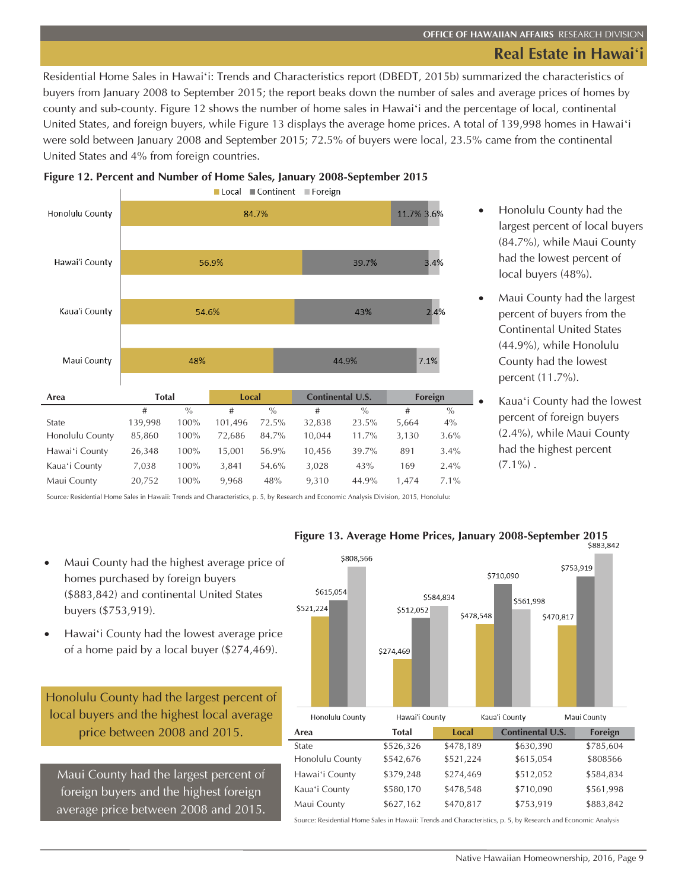Residential Home Sales in Hawaiʻi: Trends and Characteristics report (DBEDT, 2015b) summarized the characteristics of buyers from January 2008 to September 2015; the report beaks down the number of sales and average prices of homes by county and sub-county. Figure 12 shows the number of home sales in Hawaiʻi and the percentage of local, continental United States, and foreign buyers, while Figure 13 displays the average home prices. A total of 139,998 homes in Hawaiʻi were sold between January 2008 and September 2015; 72.5% of buyers were local, 23.5% came from the continental United States and 4% from foreign countries.



- **Figure 12. Percent and Number of Home Sales, January 2008-September 2015**
- Honolulu County had the largest percent of local buyers (84.7%), while Maui County had the lowest percent of local buyers (48%).
- Maui County had the largest percent of buyers from the Continental United States (44.9%), while Honolulu County had the lowest percent (11.7%).
- x Kauaʻi County had the lowest percent of foreign buyers (2.4%), while Maui County had the highest percent  $(7.1\%)$ .

Source*:* Residential Home Sales in Hawaii: Trends and Characteristics, p. 5, by Research and Economic Analysis Division, 2015, Honolulu:

- Maui County had the highest average price of homes purchased by foreign buyers (\$883,842) and continental United States buyers (\$753,919).
- Hawai'i County had the lowest average price of a home paid by a local buyer (\$274,469).

Honolulu County had the largest percent of local buyers and the highest local average price between 2008 and 2015.

Maui County had the largest percent of foreign buyers and the highest foreign average price between 2008 and 2015.



Source: Residential Home Sales in Hawaii: Trends and Characteristics, p. 5, by Research and Economic Analysis

**Figure 13. Average Home Prices, January 2008-September 2015**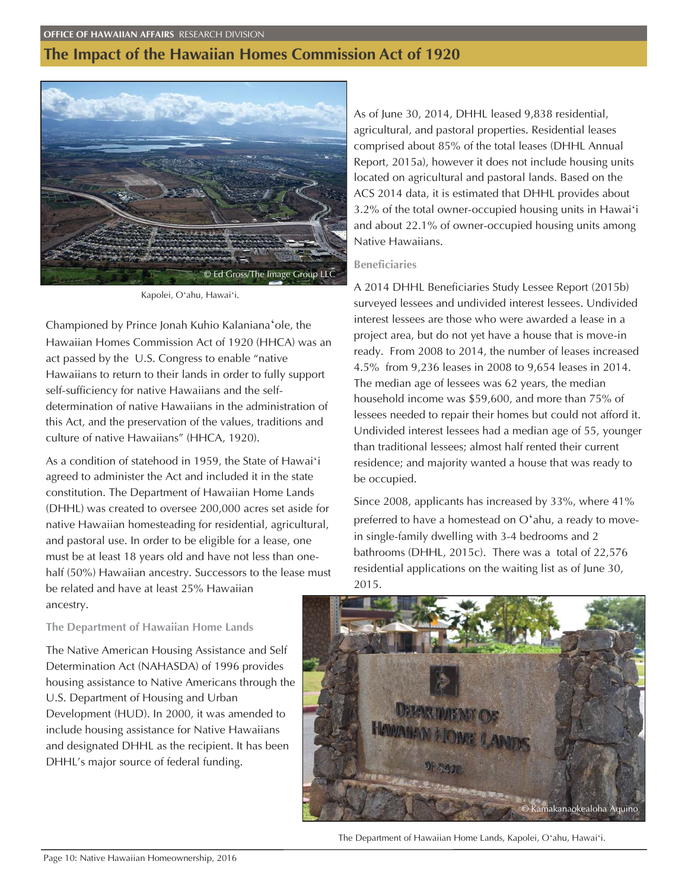# **The Impact of the Hawaiian Homes Commission Act of 1920**



Kapolei, Oʻahu, Hawaiʻi.

Championed by Prince Jonah Kuhio Kalanianaʻole, the Hawaiian Homes Commission Act of 1920 (HHCA) was an act passed by the U.S. Congress to enable "native Hawaiians to return to their lands in order to fully support self-sufficiency for native Hawaiians and the selfdetermination of native Hawaiians in the administration of this Act, and the preservation of the values, traditions and culture of native Hawaiians" (HHCA, 1920).

As a condition of statehood in 1959, the State of Hawaiʻi agreed to administer the Act and included it in the state constitution. The Department of Hawaiian Home Lands (DHHL) was created to oversee 200,000 acres set aside for native Hawaiian homesteading for residential, agricultural, and pastoral use. In order to be eligible for a lease, one must be at least 18 years old and have not less than onehalf (50%) Hawaiian ancestry. Successors to the lease must be related and have at least 25% Hawaiian ancestry.

**The Department of Hawaiian Home Lands** 

The Native American Housing Assistance and Self Determination Act (NAHASDA) of 1996 provides housing assistance to Native Americans through the U.S. Department of Housing and Urban Development (HUD). In 2000, it was amended to include housing assistance for Native Hawaiians and designated DHHL as the recipient. It has been DHHL's major source of federal funding.

As of June 30, 2014, DHHL leased 9,838 residential, agricultural, and pastoral properties. Residential leases comprised about 85% of the total leases (DHHL Annual Report, 2015a), however it does not include housing units located on agricultural and pastoral lands. Based on the ACS 2014 data, it is estimated that DHHL provides about 3.2% of the total owner-occupied housing units in Hawaiʻi and about 22.1% of owner-occupied housing units among Native Hawaiians.

### **Beneficiaries**

A 2014 DHHL Beneficiaries Study Lessee Report (2015b) surveyed lessees and undivided interest lessees. Undivided interest lessees are those who were awarded a lease in a project area, but do not yet have a house that is move-in ready. From 2008 to 2014, the number of leases increased 4.5% from 9,236 leases in 2008 to 9,654 leases in 2014. The median age of lessees was 62 years, the median household income was \$59,600, and more than 75% of lessees needed to repair their homes but could not afford it. Undivided interest lessees had a median age of 55, younger than traditional lessees; almost half rented their current residence; and majority wanted a house that was ready to be occupied.

Since 2008, applicants has increased by 33%, where 41% preferred to have a homestead on Oʻahu, a ready to movein single-family dwelling with 3-4 bedrooms and 2 bathrooms (DHHL, 2015c). There was a total of 22,576 residential applications on the waiting list as of June 30, 2015.



The Department of Hawaiian Home Lands, Kapolei, Oʻahu, Hawaiʻi.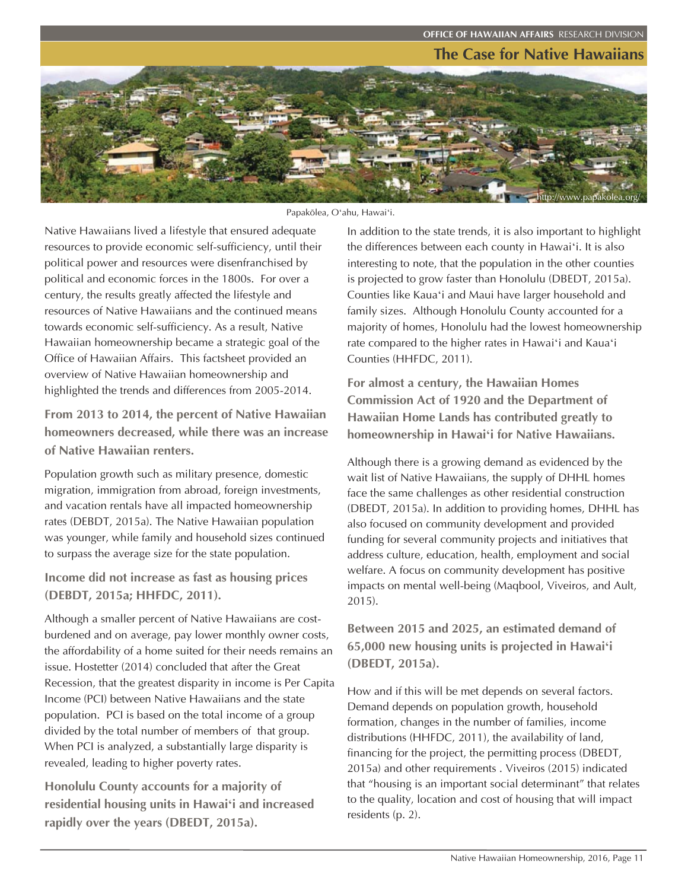# **The Case for Native Hawaiians OFFICE OF HAWAIIAN AFFAIRS** RESEARCH DIVISION



Papakölea, Oʻahu, Hawaiʻi.

Native Hawaiians lived a lifestyle that ensured adequate resources to provide economic self-sufficiency, until their political power and resources were disenfranchised by political and economic forces in the 1800s. For over a century, the results greatly affected the lifestyle and resources of Native Hawaiians and the continued means towards economic self-sufficiency. As a result, Native Hawaiian homeownership became a strategic goal of the Office of Hawaiian Affairs. This factsheet provided an overview of Native Hawaiian homeownership and highlighted the trends and differences from 2005-2014.

**From 2013 to 2014, the percent of Native Hawaiian homeowners decreased, while there was an increase of Native Hawaiian renters.** 

Population growth such as military presence, domestic migration, immigration from abroad, foreign investments, and vacation rentals have all impacted homeownership rates (DEBDT, 2015a). The Native Hawaiian population was younger, while family and household sizes continued to surpass the average size for the state population.

**Income did not increase as fast as housing prices (DEBDT, 2015a; HHFDC, 2011).** 

Although a smaller percent of Native Hawaiians are costburdened and on average, pay lower monthly owner costs, the affordability of a home suited for their needs remains an issue. Hostetter (2014) concluded that after the Great Recession, that the greatest disparity in income is Per Capita Income (PCI) between Native Hawaiians and the state population. PCI is based on the total income of a group divided by the total number of members of that group. When PCI is analyzed, a substantially large disparity is revealed, leading to higher poverty rates.

**Honolulu County accounts for a majority of residential housing units in Hawaiʻi and increased rapidly over the years (DBEDT, 2015a).** 

In addition to the state trends, it is also important to highlight the differences between each county in Hawaiʻi. It is also interesting to note, that the population in the other counties is projected to grow faster than Honolulu (DBEDT, 2015a). Counties like Kauaʻi and Maui have larger household and family sizes. Although Honolulu County accounted for a majority of homes, Honolulu had the lowest homeownership rate compared to the higher rates in Hawaiʻi and Kauaʻi Counties (HHFDC, 2011).

**For almost a century, the Hawaiian Homes Commission Act of 1920 and the Department of Hawaiian Home Lands has contributed greatly to homeownership in Hawaiʻi for Native Hawaiians.** 

Although there is a growing demand as evidenced by the wait list of Native Hawaiians, the supply of DHHL homes face the same challenges as other residential construction (DBEDT, 2015a). In addition to providing homes, DHHL has also focused on community development and provided funding for several community projects and initiatives that address culture, education, health, employment and social welfare. A focus on community development has positive impacts on mental well-being (Maqbool, Viveiros, and Ault, 2015).

**Between 2015 and 2025, an estimated demand of 65,000 new housing units is projected in Hawaiʻi (DBEDT, 2015a).** 

How and if this will be met depends on several factors. Demand depends on population growth, household formation, changes in the number of families, income distributions (HHFDC, 2011), the availability of land, financing for the project, the permitting process (DBEDT, 2015a) and other requirements . Viveiros (2015) indicated that "housing is an important social determinant" that relates to the quality, location and cost of housing that will impact residents (p. 2).